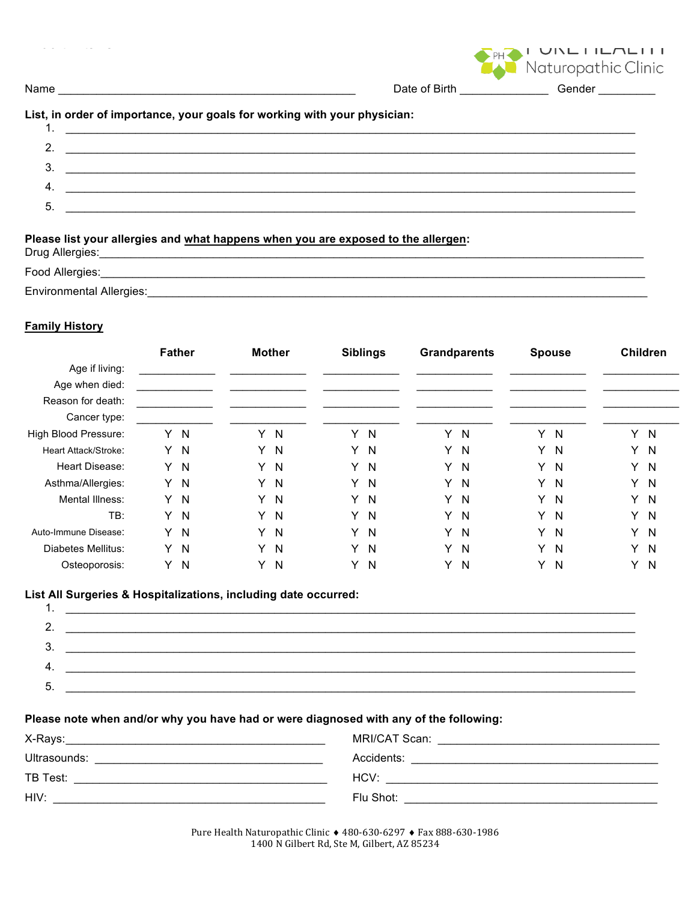|                                                                           |                             | $\cup \cup \sqcup \sqcup \sqcap \sqcup \sqcap \sqcup \sqcap \sqcup \sqcap$<br>Naturopathic Clinic |
|---------------------------------------------------------------------------|-----------------------------|---------------------------------------------------------------------------------------------------|
|                                                                           |                             | Date of Birth _________________Gender _________                                                   |
| List, in order of importance, your goals for working with your physician: |                             |                                                                                                   |
|                                                                           | 2. $\overline{\phantom{a}}$ |                                                                                                   |
|                                                                           |                             |                                                                                                   |
|                                                                           |                             |                                                                                                   |
| $\overline{4}$ .                                                          | $\frac{3}{2}$               |                                                                                                   |

# Please list your allergies and what happens when you are exposed to the allergen:<br>Drug Allergies:

| Drug Allergies:          |
|--------------------------|
| Food Allergies:          |
| Environmental Allergies: |

#### **Family History**

|                        | <b>Father</b> |              |   | <b>Mother</b> |   | <b>Siblings</b> |    | <b>Grandparents</b> |    | <b>Spouse</b> |   | <b>Children</b> |
|------------------------|---------------|--------------|---|---------------|---|-----------------|----|---------------------|----|---------------|---|-----------------|
| Age if living:         |               |              |   |               |   |                 |    |                     |    |               |   |                 |
| Age when died:         |               |              |   |               |   |                 |    |                     |    |               |   |                 |
| Reason for death:      |               |              |   |               |   |                 |    |                     |    |               |   |                 |
| Cancer type:           |               |              |   |               |   |                 |    |                     |    |               |   |                 |
| High Blood Pressure:   | Y.            | $\mathsf{N}$ | Y | N             | Y | <b>N</b>        | Y  | N                   | Y  | N             | Y | N               |
| Heart Attack/Stroke:   |               | Y N          | Y | $\mathsf{N}$  | Y | $\mathsf{N}$    | Y. | $\mathsf{N}$        | Y  | N             | Y | N               |
| <b>Heart Disease:</b>  | Y.            | $\mathsf{N}$ | Y | N             | Y | $\mathsf{N}$    | Y  | N                   | Y  | N             | Y | N               |
| Asthma/Allergies:      | Y.            | $\mathsf{N}$ | Y | $\mathsf{N}$  | Y | $\mathsf{N}$    | Y. | $\mathsf{N}$        | Y  | N             | Y | $\mathsf{N}$    |
| <b>Mental Illness:</b> |               | Y N          | Y | N             | Y | $\mathsf{N}$    | Y  | $\mathsf{N}$        | Y. | - N           | Y | <sub>N</sub>    |
| TB:                    | Y.            | $\mathsf{N}$ | Y | $\mathsf{N}$  | Y | $\mathsf{N}$    | Y  | $\mathsf{N}$        | Y  | $\mathsf{N}$  | Y | N               |
| Auto-Immune Disease:   |               | Y N          | Y | $\mathsf{N}$  | Y | $\mathsf{N}$    | Y. | $\mathsf{N}$        | Y  | N             | Y | $\mathsf{N}$    |
| Diabetes Mellitus:     | Y             | $\mathsf{N}$ | Y | N             | Y | $\mathsf{N}$    | Y. | $\mathsf{N}$        | Y  | N             | Y | N               |
| Osteoporosis:          | Y             | N            | Y | N             | Y | N               | Y  | N                   | Y  | N             | Y | N               |

#### List All Surgeries & Hospitalizations, including date occurred:  $\overline{1}$

| . .      |  |
|----------|--|
| <u>.</u> |  |
|          |  |
|          |  |
| h        |  |
|          |  |

#### Please note when and/or why you have had or were diagnosed with any of the following:

| X-Rays:      | MRI/CAT Scan: |
|--------------|---------------|
| Ultrasounds: | Accidents:    |
| TB Test:     | HCV:          |
| HIV:         | Flu Shot:     |

Pure Health Naturopathic Clinic + 480-630-6297 + Fax 888-630-1986 1400 N Gilbert Rd, Ste M, Gilbert, AZ 85234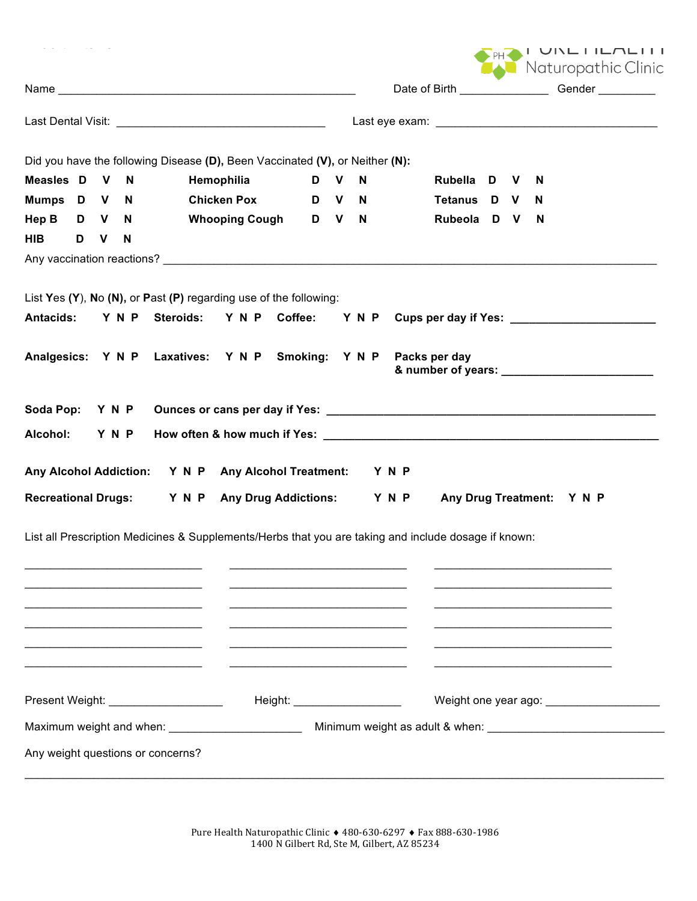| . .Lesence de celles de               |              |   |                                                                                                                                                       |  |       |                                                    |  |          | PHOTOINLILL<br>Naturopathic Clinic           |
|---------------------------------------|--------------|---|-------------------------------------------------------------------------------------------------------------------------------------------------------|--|-------|----------------------------------------------------|--|----------|----------------------------------------------|
|                                       |              |   |                                                                                                                                                       |  |       | Date of Birth ___________________Gender __________ |  |          |                                              |
|                                       |              |   |                                                                                                                                                       |  |       |                                                    |  |          |                                              |
|                                       |              |   | Did you have the following Disease (D), Been Vaccinated (V), or Neither (N):                                                                          |  |       |                                                    |  |          |                                              |
| Measles D V N                         |              |   | Hemophilia                                                                                                                                            |  | D V N | Rubella D V                                        |  | N        |                                              |
| Mumps D V N                           |              |   | Chicken Pox D V N                                                                                                                                     |  |       | Tetanus D V                                        |  | N.       |                                              |
|                                       |              |   | Hep B D V N Whooping Cough D V N                                                                                                                      |  |       | Rubeola D V                                        |  | <b>N</b> |                                              |
| <b>HIB</b><br>D                       | $\mathsf{V}$ | N |                                                                                                                                                       |  |       |                                                    |  |          |                                              |
|                                       |              |   |                                                                                                                                                       |  |       |                                                    |  |          |                                              |
| <b>Antacids:</b>                      |              |   | List Yes (Y), No (N), or Past (P) regarding use of the following:<br>Y N P Steroids: Y N P Coffee: Y N P Cups per day if Yes: _______________________ |  |       |                                                    |  |          |                                              |
|                                       |              |   | Analgesics: Y N P Laxatives: Y N P Smoking: Y N P Packs per day                                                                                       |  |       |                                                    |  |          |                                              |
| Soda Pop: Y N P                       |              |   |                                                                                                                                                       |  |       |                                                    |  |          |                                              |
|                                       |              |   |                                                                                                                                                       |  |       |                                                    |  |          |                                              |
| Alcohol:                              | Y N P        |   |                                                                                                                                                       |  |       |                                                    |  |          |                                              |
|                                       |              |   | Any Alcohol Addiction: Y N P Any Alcohol Treatment: Y N P                                                                                             |  |       |                                                    |  |          |                                              |
|                                       |              |   |                                                                                                                                                       |  |       |                                                    |  |          |                                              |
|                                       |              |   | Recreational Drugs: Y N P Any Drug Addictions: Y N P Any Drug Treatment: Y N P                                                                        |  |       |                                                    |  |          |                                              |
|                                       |              |   | List all Prescription Medicines & Supplements/Herbs that you are taking and include dosage if known:                                                  |  |       |                                                    |  |          |                                              |
|                                       |              |   |                                                                                                                                                       |  |       |                                                    |  |          |                                              |
|                                       |              |   |                                                                                                                                                       |  |       |                                                    |  |          |                                              |
|                                       |              |   |                                                                                                                                                       |  |       |                                                    |  |          |                                              |
|                                       |              |   |                                                                                                                                                       |  |       |                                                    |  |          |                                              |
|                                       |              |   |                                                                                                                                                       |  |       |                                                    |  |          |                                              |
| Present Weight: _____________________ |              |   | Height: ______________________                                                                                                                        |  |       |                                                    |  |          | Weight one year ago: _______________________ |
|                                       |              |   | Maximum weight and when: ________________________                                                                                                     |  |       |                                                    |  |          |                                              |
| Any weight questions or concerns?     |              |   |                                                                                                                                                       |  |       |                                                    |  |          |                                              |
|                                       |              |   |                                                                                                                                                       |  |       |                                                    |  |          |                                              |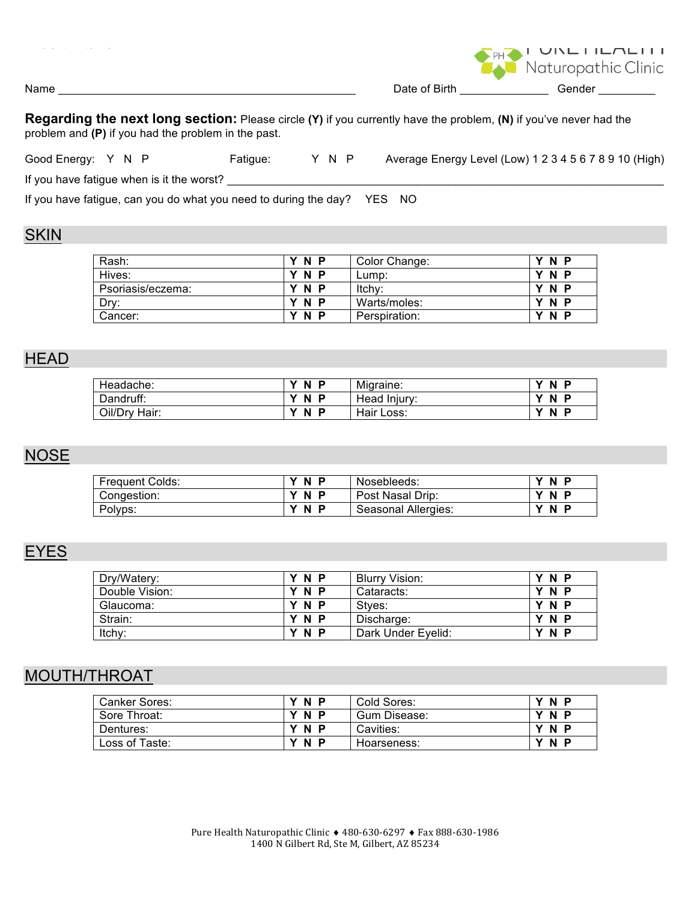|                                                                                                                                                                          |  | Naturopathic Clinic                                    |  |  |  |  |  |  |
|--------------------------------------------------------------------------------------------------------------------------------------------------------------------------|--|--------------------------------------------------------|--|--|--|--|--|--|
|                                                                                                                                                                          |  | Date of Birth Gender                                   |  |  |  |  |  |  |
| Regarding the next long section: Please circle (Y) if you currently have the problem, (N) if you've never had the<br>problem and (P) if you had the problem in the past. |  |                                                        |  |  |  |  |  |  |
| Y N P<br>Good Energy: Y N P<br>Fatigue:                                                                                                                                  |  | Average Energy Level (Low) 1 2 3 4 5 6 7 8 9 10 (High) |  |  |  |  |  |  |
| If you have fatigue when is it the worst?                                                                                                                                |  |                                                        |  |  |  |  |  |  |
| If you have fatigue, can you do what you need to during the day? YES NO                                                                                                  |  |                                                        |  |  |  |  |  |  |
| <b>SKIN</b>                                                                                                                                                              |  |                                                        |  |  |  |  |  |  |

| Rash:             | Y N P          | Color Change: | N<br>P   |
|-------------------|----------------|---------------|----------|
| Hives:            | Y N P          | Lump:         | N<br>P   |
| Psoriasis/eczema: | Y N P          | Itchy:        | N<br>P   |
| Dry:              | Y N P          | Warts/moles:  | N<br>- P |
| Cancer:           | 'N<br><b>P</b> | Perspiration: | N<br>P   |

# **HEAD**

| Headache:     | N<br>$\mathbf{v}$<br>D        | Migraine:    | N<br>$\checkmark$<br>D |
|---------------|-------------------------------|--------------|------------------------|
| Dandruff:     | <b>N</b><br>$\mathbf{v}$<br>Ð | Head Injury: | $\checkmark$<br>N<br>Ð |
| Oil/Dry Hair: | N<br>$\mathbf{v}$<br>Ð        | Hair Loss:   | $\checkmark$<br>N<br>Ð |

# **NOSE**

| <b>Frequent Colds:</b> | N.<br>Ð      | Nosebleeds:         | v<br>N        |
|------------------------|--------------|---------------------|---------------|
| Congestion:            | N P          | Post Nasal Drip:    | <b>N</b><br>v |
| Polyps:                | N.<br>v<br>o | Seasonal Allergies: | N<br>Ð        |

# **EYES**

| Drv/Watery:    | Y N P | Blurry Vision:     | <b>N</b><br>P. |
|----------------|-------|--------------------|----------------|
| Double Vision: | Y N P | Cataracts:         | Y N P          |
| Glaucoma:      | Y N P | Stves:             | Y N P          |
| Strain:        | Y N P | Discharge:         | N P            |
| Itchy:         | Y N P | Dark Under Eyelid: | N P            |

# MOUTH/THROAT

| Canker Sores:  | Y N P | Cold Sores:  | Y N<br>P |
|----------------|-------|--------------|----------|
| Sore Throat:   | Y N P | Gum Disease: | v<br>N P |
| Dentures:      | Y N P | Cavities:    | Y N P    |
| Loss of Taste: | Y N P | Hoarseness:  | v<br>N P |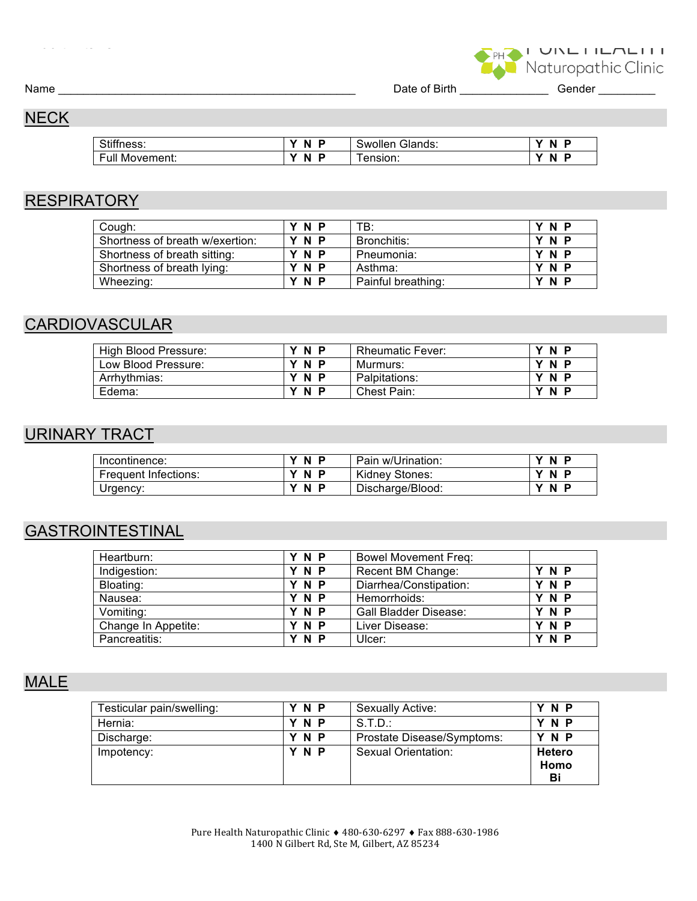I UINLITENLITI

Name \_\_\_\_\_\_\_\_\_\_\_\_\_\_\_\_\_\_\_\_\_\_\_\_\_\_\_\_\_\_\_\_\_\_\_\_\_\_\_\_\_\_\_\_\_\_\_ Date of Birth \_\_\_\_\_\_\_\_\_\_\_\_\_\_ Gender \_\_\_\_\_\_\_\_\_

# **NECK**

| Stiffness:       | -N<br>$\mathbf{v}$ | Glands:<br>Swollen | v<br>N<br>D |
|------------------|--------------------|--------------------|-------------|
| ٠u۱<br>Movement: | N                  | ension:            | M<br>N<br>в |

## **RESPIRATORY**

| Cough:                          | Y N P | TB:                | Y N P |
|---------------------------------|-------|--------------------|-------|
| Shortness of breath w/exertion: | Y N P | Bronchitis:        | Y N P |
| Shortness of breath sitting:    | Y N P | Pneumonia:         | Y N P |
| Shortness of breath lying:      | Y N P | Asthma:            | Y N P |
| Wheezing:                       | Y N P | Painful breathing: | Y N P |
|                                 |       |                    |       |

# **CARDIOVASCULAR**

| High Blood Pressure: | 'N P  | <b>Rheumatic Fever:</b> | YNP   |
|----------------------|-------|-------------------------|-------|
| Low Blood Pressure:  | N P   | Murmurs:                | Y N P |
| Arrhythmias:         | Y N P | Palpitations:           | Y N P |
| Edema:               | Y N P | Chest Pain:             | N P   |

## URINARY TRACT

| Incontinence:        | N<br>v<br>Ð | Pain w/Urination: | N  |
|----------------------|-------------|-------------------|----|
| Frequent Infections: | N<br>Ð      | Kidney Stones:    | N. |
| Urgency:             | v<br>N<br>Ð | Discharge/Blood:  | N  |

# GASTROINTESTINAL

| Heartburn:          | Y N P | <b>Bowel Movement Freq:</b>  |       |
|---------------------|-------|------------------------------|-------|
| Indigestion:        | Y N P | Recent BM Change:            | Y N P |
| Bloating:           | Y N P | Diarrhea/Constipation:       | Y N P |
| Nausea:             | Y N P | Hemorrhoids:                 | Y N P |
| Vomiting:           | Y N P | <b>Gall Bladder Disease:</b> | Y N P |
| Change In Appetite: | N P   | Liver Disease:               | Y N P |
| Pancreatitis:       | N P   | Ulcer:                       | N P   |

## MALE

| Testicular pain/swelling: | Y N P | Sexually Active:           | Y N P                |
|---------------------------|-------|----------------------------|----------------------|
| Hernia:                   | Y N P | S.T.D.                     | Y N P                |
| Discharge:                | Y N P | Prostate Disease/Symptoms: | Y N P                |
| Impotency:                | Y N P | Sexual Orientation:        | Hetero<br>Homo<br>Bi |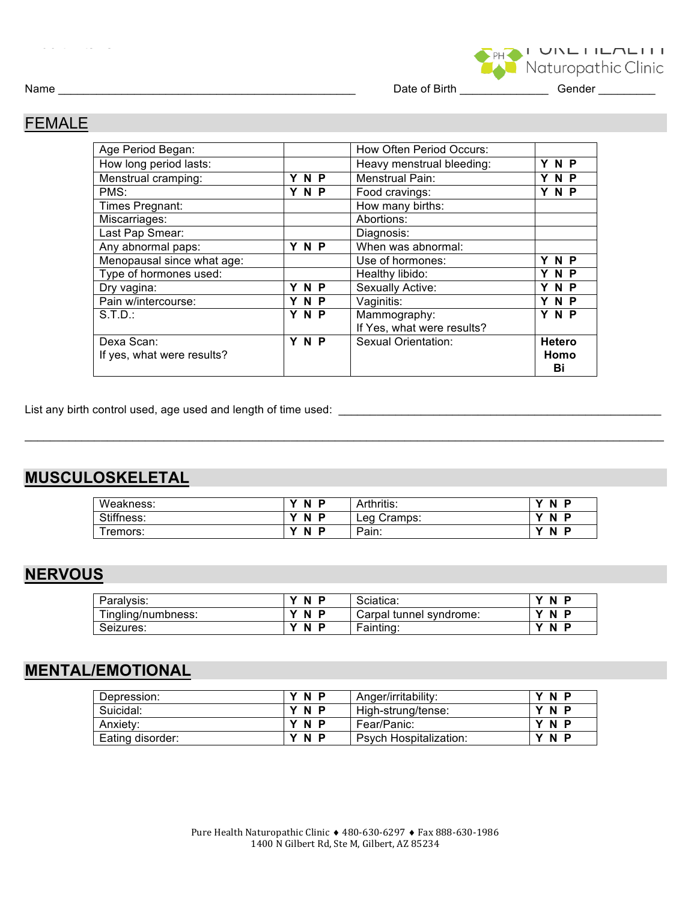Name \_\_\_\_\_\_\_\_\_\_\_\_\_\_\_\_\_\_\_\_\_\_\_\_\_\_\_\_\_\_\_\_\_\_\_\_\_\_\_\_\_\_\_\_\_\_\_ Date of Birth \_\_\_\_\_\_\_\_\_\_\_\_\_\_ Gender \_\_\_\_\_\_\_\_\_

I UINLITEALITI

### FEMALE

| Age Period Began:          |       | How Often Period Occurs:   |               |
|----------------------------|-------|----------------------------|---------------|
| How long period lasts:     |       | Heavy menstrual bleeding:  | Y N P         |
| Menstrual cramping:        | Y N P | <b>Menstrual Pain:</b>     | Y N P         |
| PMS:                       | Y N P | Food cravings:             | Y N P         |
| Times Pregnant:            |       | How many births:           |               |
| Miscarriages:              |       | Abortions:                 |               |
| Last Pap Smear:            |       | Diagnosis:                 |               |
| Any abnormal paps:         | Y N P | When was abnormal:         |               |
| Menopausal since what age: |       | Use of hormones:           | Y N P         |
| Type of hormones used:     |       | Healthy libido:            | Y N P         |
| Dry vagina:                | N P   | Sexually Active:           | Y N P         |
| Pain w/intercourse:        | YNP   | Vaginitis:                 | Y N P         |
| S.T.D.                     | Y N P | Mammography:               | Y N P         |
|                            |       | If Yes, what were results? |               |
| Dexa Scan:                 | Y N P | Sexual Orientation:        | <b>Hetero</b> |
| If yes, what were results? |       |                            | Homo          |
|                            |       |                            | Bi            |

List any birth control used, age used and length of time used: \_\_\_\_\_\_\_\_\_\_\_\_\_\_\_\_\_\_\_\_\_\_\_\_\_\_\_\_\_\_\_\_\_\_\_\_\_\_\_\_\_\_\_\_\_\_\_\_\_\_\_

## **MUSCULOSKELETAL**

| Weakness:  | <b>N</b><br>Ð      | Arthritis:     | N           |
|------------|--------------------|----------------|-------------|
| Stiffness: | v<br><b>N</b><br>Ð | Cramps:<br>Lea | v<br>N<br>Ð |
| remors:    | N<br>D             | Pain:          | N           |

 $\mathcal{L}_\text{max}$  , and the set of the set of the set of the set of the set of the set of the set of the set of the set of the set of the set of the set of the set of the set of the set of the set of the set of the set of the

#### **NERVOUS**

| Paralysis:         | N<br>$\mathbf{v}$<br>P | Sciatica:               | N<br>v        |
|--------------------|------------------------|-------------------------|---------------|
| Tingling/numbness: | N<br>v<br>P            | Carpal tunnel svndrome: | <b>N</b><br>v |
| Seizures:          | $\mathbf{v}$<br>N<br>P | Fainting:               | v<br>N        |

### **MENTAL/EMOTIONAL**

| Depression:      | Y N P | Anger/irritability:           | <b>N</b><br>Ð |
|------------------|-------|-------------------------------|---------------|
| Suicidal:        | Y N P | High-strung/tense:            | YNP           |
| Anxiety:         | Y N P | Fear/Panic:                   | YNP           |
| Eating disorder: | N P   | <b>Psych Hospitalization:</b> | <b>N</b><br>Ð |